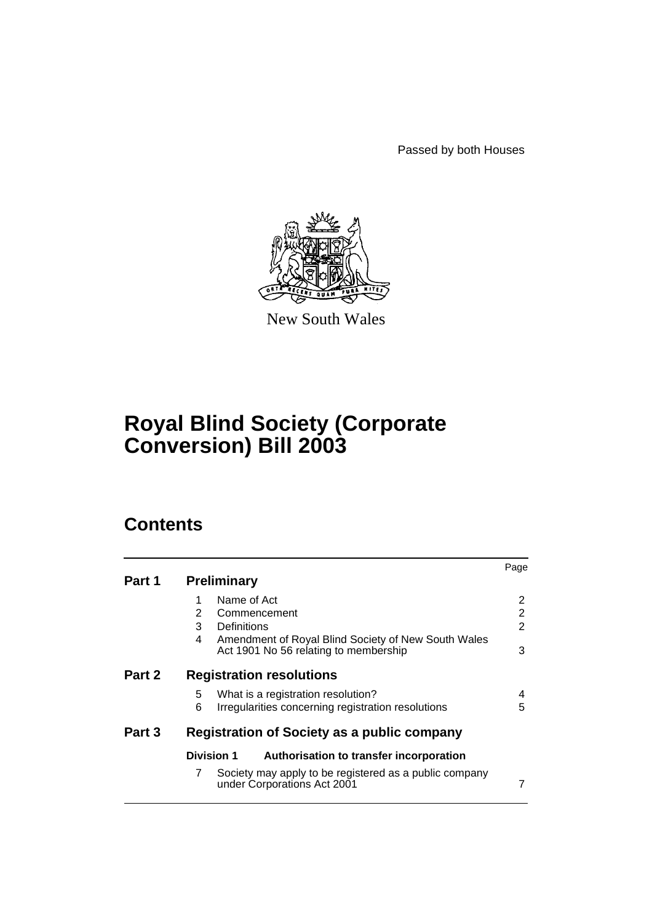Passed by both Houses



New South Wales

# **Royal Blind Society (Corporate Conversion) Bill 2003**

# **Contents**

|        |                                                                                                   | Page |
|--------|---------------------------------------------------------------------------------------------------|------|
| Part 1 | <b>Preliminary</b>                                                                                |      |
|        | Name of Act                                                                                       | 2    |
|        | 2<br>Commencement                                                                                 | 2    |
|        | 3<br>Definitions                                                                                  | 2    |
|        | Amendment of Royal Blind Society of New South Wales<br>4<br>Act 1901 No 56 relating to membership | 3    |
| Part 2 | <b>Registration resolutions</b>                                                                   |      |
|        | 5<br>What is a registration resolution?                                                           | 4    |
|        | 6<br>Irregularities concerning registration resolutions                                           | 5    |
| Part 3 | Registration of Society as a public company                                                       |      |
|        | <b>Division 1</b><br>Authorisation to transfer incorporation                                      |      |
|        | Society may apply to be registered as a public company<br>7<br>under Corporations Act 2001        |      |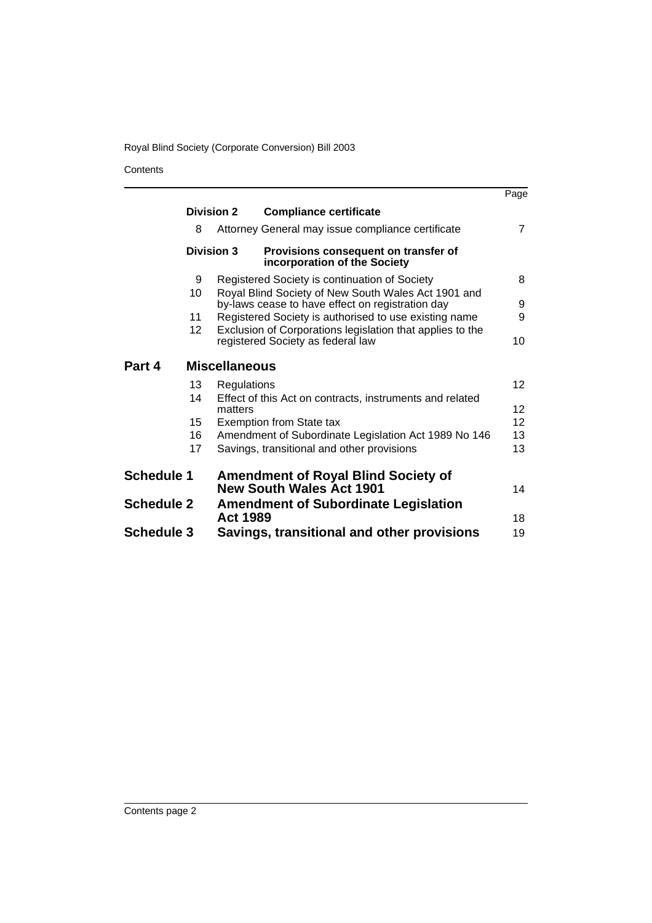**Contents** 

|                   |                                                                                                         | Page              |
|-------------------|---------------------------------------------------------------------------------------------------------|-------------------|
|                   | <b>Division 2</b><br><b>Compliance certificate</b>                                                      |                   |
| 8                 | Attorney General may issue compliance certificate                                                       | 7                 |
|                   | <b>Division 3</b><br>Provisions consequent on transfer of<br>incorporation of the Society               |                   |
| 9                 | Registered Society is continuation of Society                                                           | 8                 |
| 10                | Royal Blind Society of New South Wales Act 1901 and<br>by-laws cease to have effect on registration day | 9                 |
| 11                | Registered Society is authorised to use existing name                                                   | 9                 |
| 12 <sup>2</sup>   | Exclusion of Corporations legislation that applies to the<br>registered Society as federal law          | 10                |
| Part 4            | <b>Miscellaneous</b>                                                                                    |                   |
| 13                | Regulations                                                                                             | 12                |
| 14                | Effect of this Act on contracts, instruments and related<br>matters                                     | $12 \overline{ }$ |
| 15                | <b>Exemption from State tax</b>                                                                         | 12                |
| 16                | Amendment of Subordinate Legislation Act 1989 No 146                                                    | 13                |
| 17                | Savings, transitional and other provisions                                                              | 13                |
| <b>Schedule 1</b> | <b>Amendment of Royal Blind Society of</b><br><b>New South Wales Act 1901</b>                           | 14                |
| <b>Schedule 2</b> | <b>Amendment of Subordinate Legislation</b><br><b>Act 1989</b>                                          | 18                |
| <b>Schedule 3</b> | Savings, transitional and other provisions                                                              | 19                |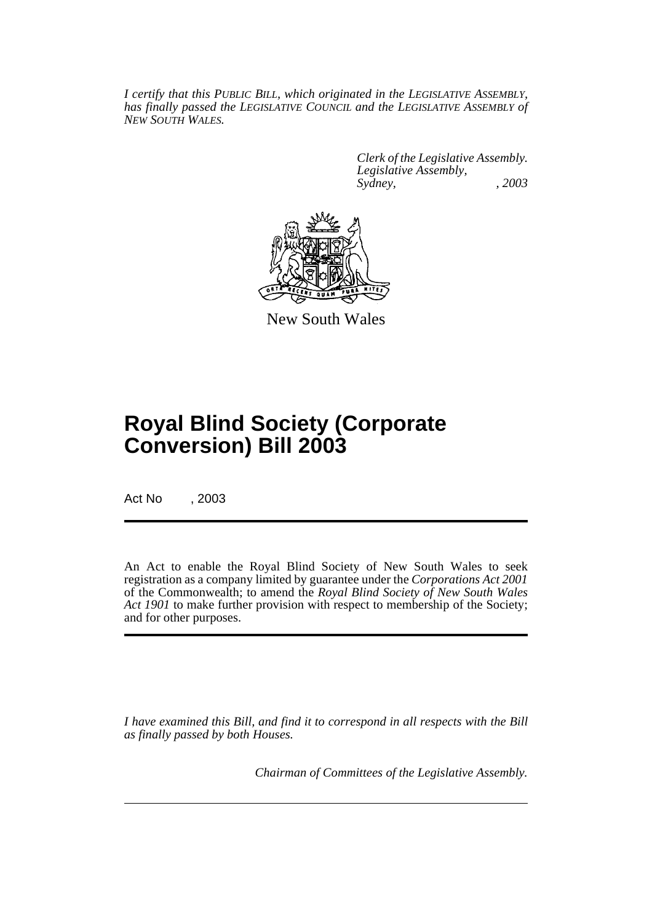*I certify that this PUBLIC BILL, which originated in the LEGISLATIVE ASSEMBLY, has finally passed the LEGISLATIVE COUNCIL and the LEGISLATIVE ASSEMBLY of NEW SOUTH WALES.*

> *Clerk of the Legislative Assembly. Legislative Assembly, Sydney, , 2003*



New South Wales

# **Royal Blind Society (Corporate Conversion) Bill 2003**

Act No , 2003

An Act to enable the Royal Blind Society of New South Wales to seek registration as a company limited by guarantee under the *Corporations Act 2001* of the Commonwealth; to amend the *Royal Blind Society of New South Wales Act 1901* to make further provision with respect to membership of the Society; and for other purposes.

*I have examined this Bill, and find it to correspond in all respects with the Bill as finally passed by both Houses.*

*Chairman of Committees of the Legislative Assembly.*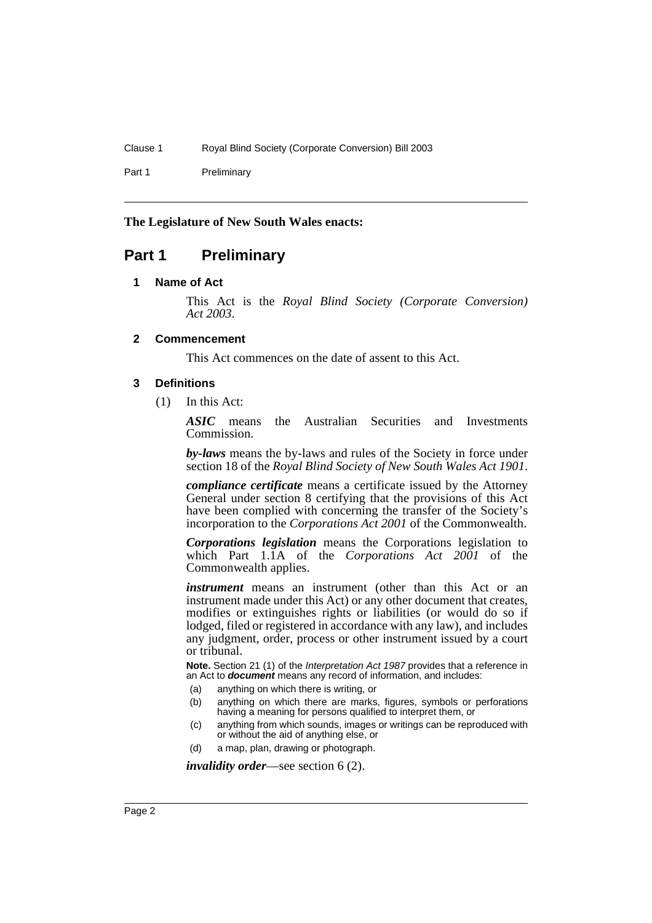Part 1 Preliminary

#### **The Legislature of New South Wales enacts:**

### **Part 1 Preliminary**

#### **1 Name of Act**

This Act is the *Royal Blind Society (Corporate Conversion) Act 2003*.

#### **2 Commencement**

This Act commences on the date of assent to this Act.

#### **3 Definitions**

(1) In this Act:

*ASIC* means the Australian Securities and Investments Commission.

*by-laws* means the by-laws and rules of the Society in force under section 18 of the *Royal Blind Society of New South Wales Act 1901*.

*compliance certificate* means a certificate issued by the Attorney General under section 8 certifying that the provisions of this Act have been complied with concerning the transfer of the Society's incorporation to the *Corporations Act 2001* of the Commonwealth.

*Corporations legislation* means the Corporations legislation to which Part 1.1A of the *Corporations Act 2001* of the Commonwealth applies.

*instrument* means an instrument (other than this Act or an instrument made under this Act) or any other document that creates, modifies or extinguishes rights or liabilities (or would do so if lodged, filed or registered in accordance with any law), and includes any judgment, order, process or other instrument issued by a court or tribunal.

**Note.** Section 21 (1) of the Interpretation Act 1987 provides that a reference in an Act to **document** means any record of information, and includes:

- (a) anything on which there is writing, or
- (b) anything on which there are marks, figures, symbols or perforations having a meaning for persons qualified to interpret them, or
- (c) anything from which sounds, images or writings can be reproduced with or without the aid of anything else, or
- (d) a map, plan, drawing or photograph.

*invalidity order*—see section 6 (2).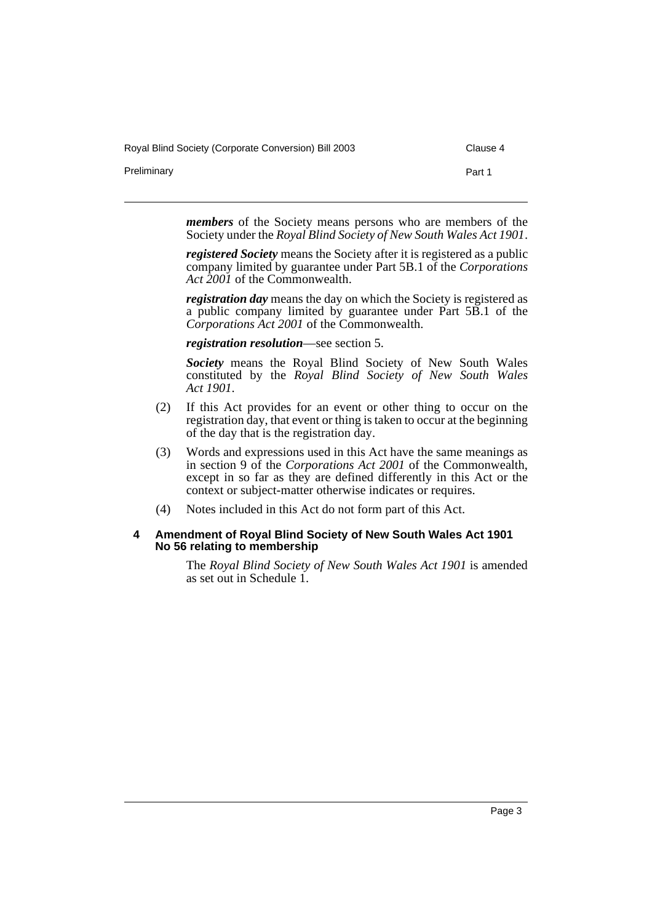Royal Blind Society (Corporate Conversion) Bill 2003 Clause 4

Preliminary **Preliminary** Part 1

*members* of the Society means persons who are members of the Society under the *Royal Blind Society of New South Wales Act 1901*.

*registered Society* means the Society after it is registered as a public company limited by guarantee under Part 5B.1 of the *Corporations Act 2001* of the Commonwealth.

*registration day* means the day on which the Society is registered as a public company limited by guarantee under Part 5B.1 of the *Corporations Act 2001* of the Commonwealth.

*registration resolution*—see section 5.

*Society* means the Royal Blind Society of New South Wales constituted by the *Royal Blind Society of New South Wales Act 1901*.

- (2) If this Act provides for an event or other thing to occur on the registration day, that event or thing is taken to occur at the beginning of the day that is the registration day.
- (3) Words and expressions used in this Act have the same meanings as in section 9 of the *Corporations Act 2001* of the Commonwealth, except in so far as they are defined differently in this Act or the context or subject-matter otherwise indicates or requires.
- (4) Notes included in this Act do not form part of this Act.

#### **4 Amendment of Royal Blind Society of New South Wales Act 1901 No 56 relating to membership**

The *Royal Blind Society of New South Wales Act 1901* is amended as set out in Schedule 1.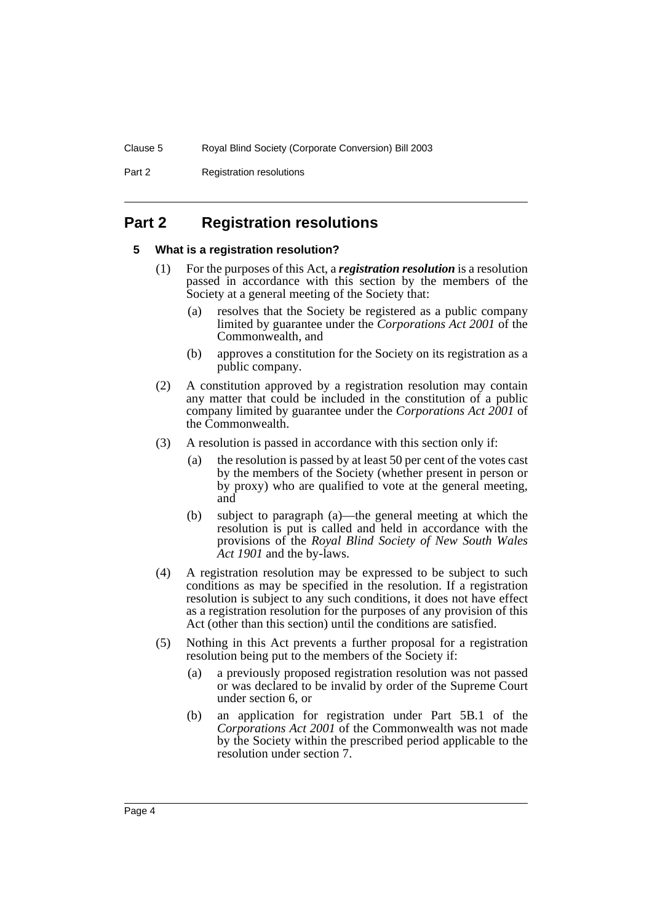Part 2 Registration resolutions

### **Part 2 Registration resolutions**

#### **5 What is a registration resolution?**

- (1) For the purposes of this Act, a *registration resolution* is a resolution passed in accordance with this section by the members of the Society at a general meeting of the Society that:
	- (a) resolves that the Society be registered as a public company limited by guarantee under the *Corporations Act 2001* of the Commonwealth, and
	- (b) approves a constitution for the Society on its registration as a public company.
- (2) A constitution approved by a registration resolution may contain any matter that could be included in the constitution of a public company limited by guarantee under the *Corporations Act 2001* of the Commonwealth.
- (3) A resolution is passed in accordance with this section only if:
	- (a) the resolution is passed by at least 50 per cent of the votes cast by the members of the Society (whether present in person or by proxy) who are qualified to vote at the general meeting, and
	- (b) subject to paragraph (a)—the general meeting at which the resolution is put is called and held in accordance with the provisions of the *Royal Blind Society of New South Wales Act 1901* and the by-laws.
- (4) A registration resolution may be expressed to be subject to such conditions as may be specified in the resolution. If a registration resolution is subject to any such conditions, it does not have effect as a registration resolution for the purposes of any provision of this Act (other than this section) until the conditions are satisfied.
- (5) Nothing in this Act prevents a further proposal for a registration resolution being put to the members of the Society if:
	- (a) a previously proposed registration resolution was not passed or was declared to be invalid by order of the Supreme Court under section 6, or
	- (b) an application for registration under Part 5B.1 of the *Corporations Act 2001* of the Commonwealth was not made by the Society within the prescribed period applicable to the resolution under section 7.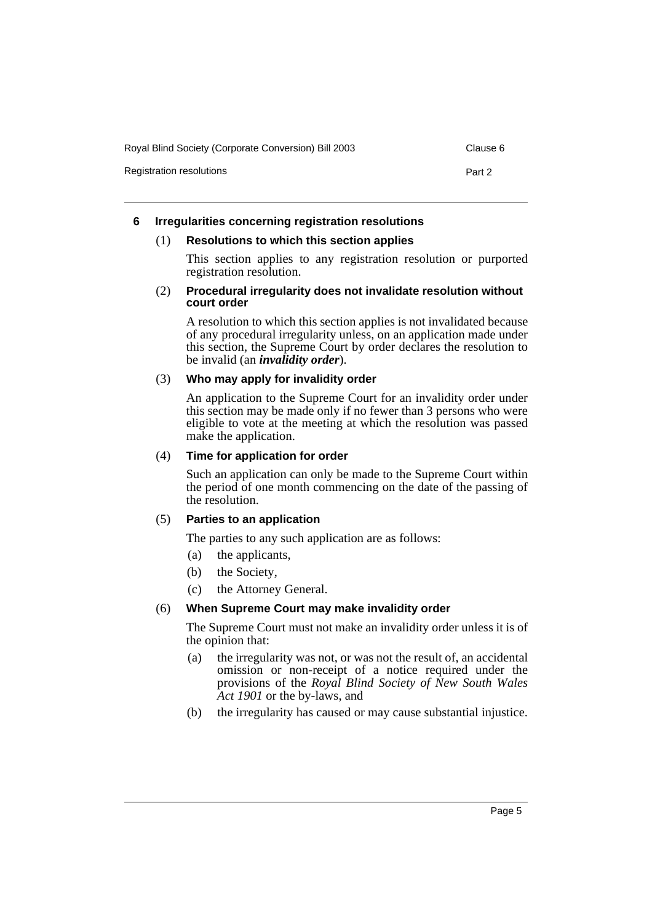Royal Blind Society (Corporate Conversion) Bill 2003 Clause 6

Registration resolutions **Part 2** 

#### **6 Irregularities concerning registration resolutions**

#### (1) **Resolutions to which this section applies**

This section applies to any registration resolution or purported registration resolution.

#### (2) **Procedural irregularity does not invalidate resolution without court order**

A resolution to which this section applies is not invalidated because of any procedural irregularity unless, on an application made under this section, the Supreme Court by order declares the resolution to be invalid (an *invalidity order*).

#### (3) **Who may apply for invalidity order**

An application to the Supreme Court for an invalidity order under this section may be made only if no fewer than 3 persons who were eligible to vote at the meeting at which the resolution was passed make the application.

#### (4) **Time for application for order**

Such an application can only be made to the Supreme Court within the period of one month commencing on the date of the passing of the resolution.

#### (5) **Parties to an application**

The parties to any such application are as follows:

- (a) the applicants,
- (b) the Society,
- (c) the Attorney General.

#### (6) **When Supreme Court may make invalidity order**

The Supreme Court must not make an invalidity order unless it is of the opinion that:

- (a) the irregularity was not, or was not the result of, an accidental omission or non-receipt of a notice required under the provisions of the *Royal Blind Society of New South Wales Act 1901* or the by-laws, and
- (b) the irregularity has caused or may cause substantial injustice.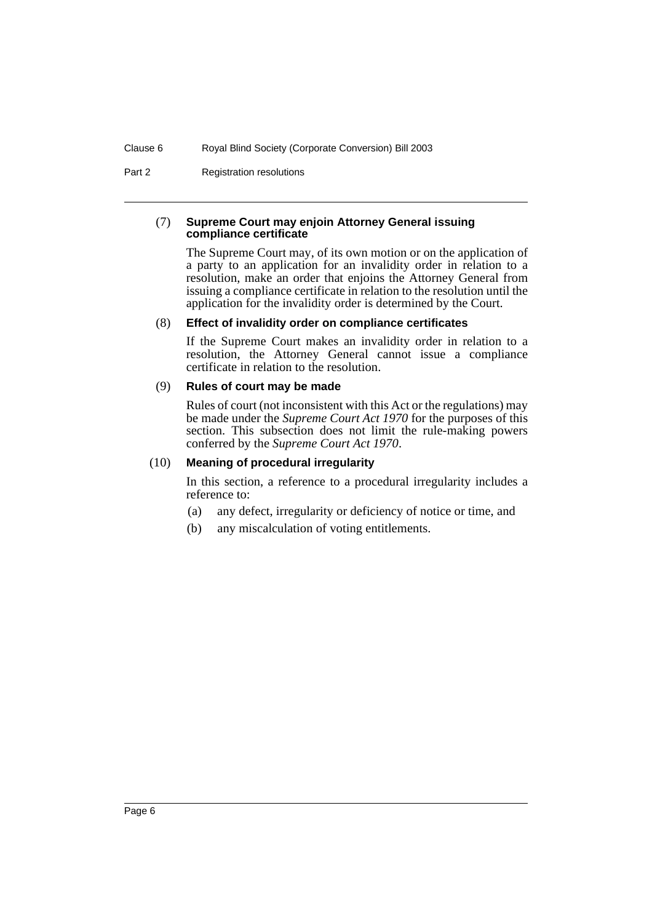Part 2 Registration resolutions

#### (7) **Supreme Court may enjoin Attorney General issuing compliance certificate**

The Supreme Court may, of its own motion or on the application of a party to an application for an invalidity order in relation to a resolution, make an order that enjoins the Attorney General from issuing a compliance certificate in relation to the resolution until the application for the invalidity order is determined by the Court.

#### (8) **Effect of invalidity order on compliance certificates**

If the Supreme Court makes an invalidity order in relation to a resolution, the Attorney General cannot issue a compliance certificate in relation to the resolution.

#### (9) **Rules of court may be made**

Rules of court (not inconsistent with this Act or the regulations) may be made under the *Supreme Court Act 1970* for the purposes of this section. This subsection does not limit the rule-making powers conferred by the *Supreme Court Act 1970*.

#### (10) **Meaning of procedural irregularity**

In this section, a reference to a procedural irregularity includes a reference to:

- (a) any defect, irregularity or deficiency of notice or time, and
- (b) any miscalculation of voting entitlements.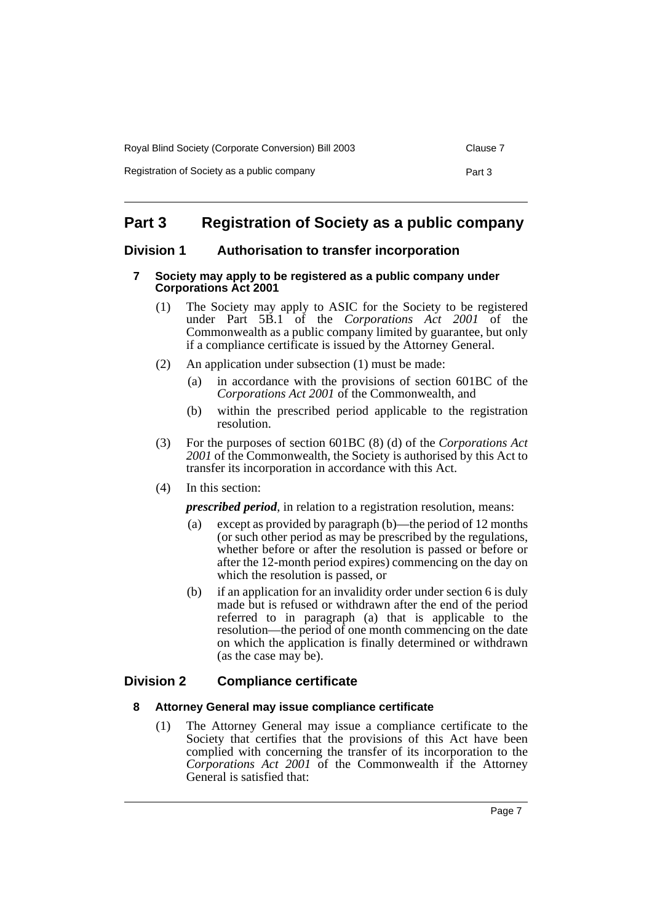| Royal Blind Society (Corporate Conversion) Bill 2003 | Clause 7 |
|------------------------------------------------------|----------|
| Registration of Society as a public company          | Part 3   |

## **Part 3 Registration of Society as a public company**

### **Division 1 Authorisation to transfer incorporation**

#### **7 Society may apply to be registered as a public company under Corporations Act 2001**

- (1) The Society may apply to ASIC for the Society to be registered under Part 5B.1 of the *Corporations Act 2001* of the Commonwealth as a public company limited by guarantee, but only if a compliance certificate is issued by the Attorney General.
- (2) An application under subsection (1) must be made:
	- (a) in accordance with the provisions of section 601BC of the *Corporations Act 2001* of the Commonwealth, and
	- (b) within the prescribed period applicable to the registration resolution.
- (3) For the purposes of section 601BC (8) (d) of the *Corporations Act 2001* of the Commonwealth, the Society is authorised by this Act to transfer its incorporation in accordance with this Act.
- (4) In this section:

*prescribed period*, in relation to a registration resolution, means:

- (a) except as provided by paragraph (b)—the period of 12 months (or such other period as may be prescribed by the regulations, whether before or after the resolution is passed or before or after the 12-month period expires) commencing on the day on which the resolution is passed, or
- (b) if an application for an invalidity order under section 6 is duly made but is refused or withdrawn after the end of the period referred to in paragraph (a) that is applicable to the resolution—the period of one month commencing on the date on which the application is finally determined or withdrawn (as the case may be).

### **Division 2 Compliance certificate**

### **8 Attorney General may issue compliance certificate**

(1) The Attorney General may issue a compliance certificate to the Society that certifies that the provisions of this Act have been complied with concerning the transfer of its incorporation to the *Corporations Act 2001* of the Commonwealth if the Attorney General is satisfied that: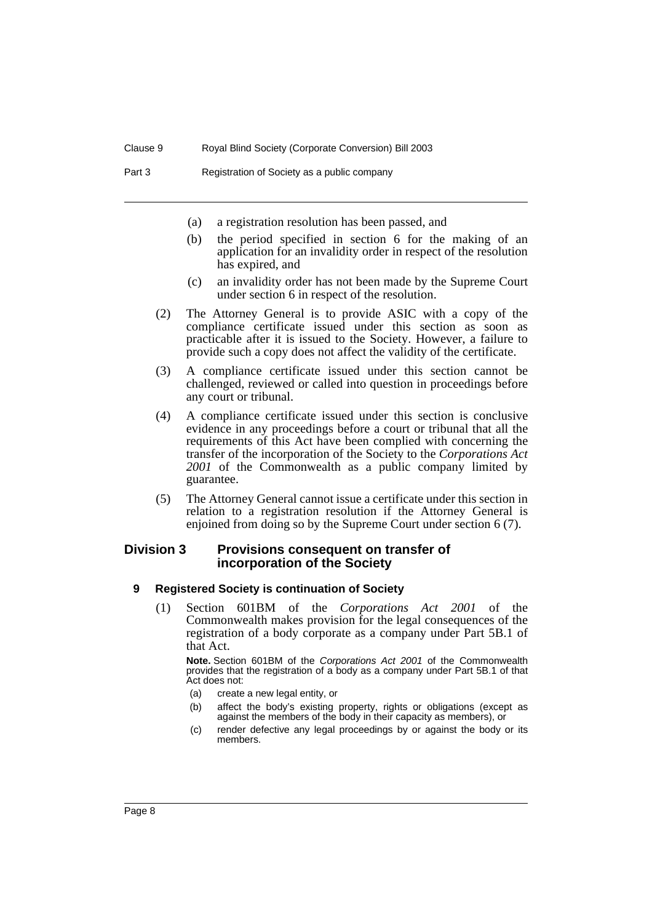- (a) a registration resolution has been passed, and
- (b) the period specified in section 6 for the making of an application for an invalidity order in respect of the resolution has expired, and
- (c) an invalidity order has not been made by the Supreme Court under section 6 in respect of the resolution.
- (2) The Attorney General is to provide ASIC with a copy of the compliance certificate issued under this section as soon as practicable after it is issued to the Society. However, a failure to provide such a copy does not affect the validity of the certificate.
- (3) A compliance certificate issued under this section cannot be challenged, reviewed or called into question in proceedings before any court or tribunal.
- (4) A compliance certificate issued under this section is conclusive evidence in any proceedings before a court or tribunal that all the requirements of this Act have been complied with concerning the transfer of the incorporation of the Society to the *Corporations Act 2001* of the Commonwealth as a public company limited by guarantee.
- (5) The Attorney General cannot issue a certificate under this section in relation to a registration resolution if the Attorney General is enjoined from doing so by the Supreme Court under section 6 (7).

#### **Division 3 Provisions consequent on transfer of incorporation of the Society**

#### **9 Registered Society is continuation of Society**

(1) Section 601BM of the *Corporations Act 2001* of the Commonwealth makes provision for the legal consequences of the registration of a body corporate as a company under Part 5B.1 of that Act.

**Note.** Section 601BM of the Corporations Act 2001 of the Commonwealth provides that the registration of a body as a company under Part 5B.1 of that Act does not:

- (a) create a new legal entity, or
- (b) affect the body's existing property, rights or obligations (except as against the members of the body in their capacity as members), or
- (c) render defective any legal proceedings by or against the body or its members.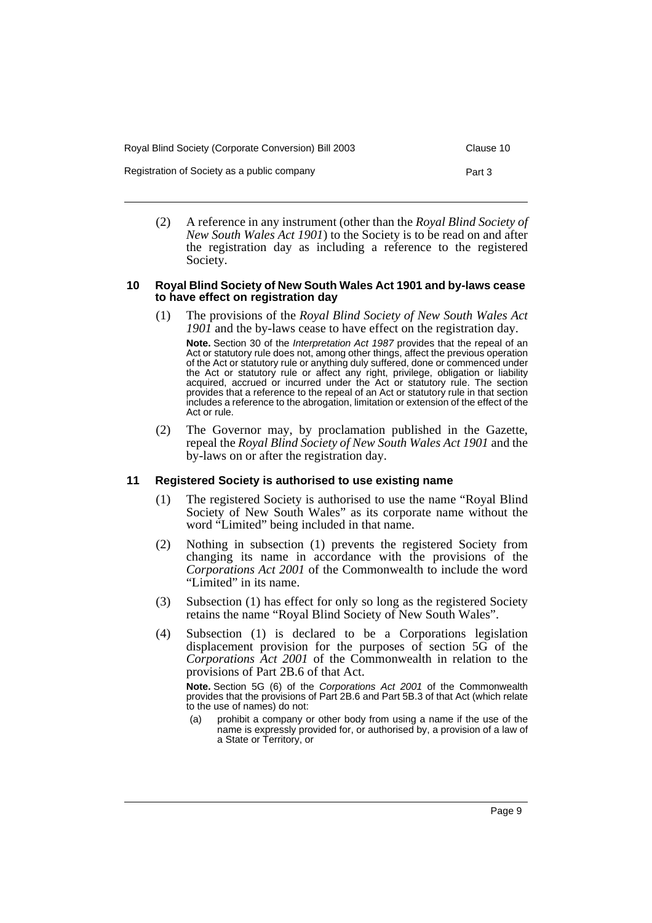| Royal Blind Society (Corporate Conversion) Bill 2003 | Clause 10 |
|------------------------------------------------------|-----------|
| Registration of Society as a public company          | Part 3    |

(2) A reference in any instrument (other than the *Royal Blind Society of New South Wales Act 1901*) to the Society is to be read on and after the registration day as including a reference to the registered Society.

#### **10 Royal Blind Society of New South Wales Act 1901 and by-laws cease to have effect on registration day**

(1) The provisions of the *Royal Blind Society of New South Wales Act 1901* and the by-laws cease to have effect on the registration day.

**Note.** Section 30 of the Interpretation Act 1987 provides that the repeal of an Act or statutory rule does not, among other things, affect the previous operation of the Act or statutory rule or anything duly suffered, done or commenced under the Act or statutory rule or affect any right, privilege, obligation or liability acquired, accrued or incurred under the Act or statutory rule. The section provides that a reference to the repeal of an Act or statutory rule in that section includes a reference to the abrogation, limitation or extension of the effect of the Act or rule.

(2) The Governor may, by proclamation published in the Gazette, repeal the *Royal Blind Society of New South Wales Act 1901* and the by-laws on or after the registration day.

#### **11 Registered Society is authorised to use existing name**

- (1) The registered Society is authorised to use the name "Royal Blind Society of New South Wales" as its corporate name without the word "Limited" being included in that name.
- (2) Nothing in subsection (1) prevents the registered Society from changing its name in accordance with the provisions of the *Corporations Act 2001* of the Commonwealth to include the word "Limited" in its name.
- (3) Subsection (1) has effect for only so long as the registered Society retains the name "Royal Blind Society of New South Wales".
- (4) Subsection (1) is declared to be a Corporations legislation displacement provision for the purposes of section 5G of the *Corporations Act 2001* of the Commonwealth in relation to the provisions of Part 2B.6 of that Act.

**Note.** Section 5G (6) of the Corporations Act 2001 of the Commonwealth provides that the provisions of Part 2B.6 and Part 5B.3 of that Act (which relate to the use of names) do not:

(a) prohibit a company or other body from using a name if the use of the name is expressly provided for, or authorised by, a provision of a law of a State or Territory, or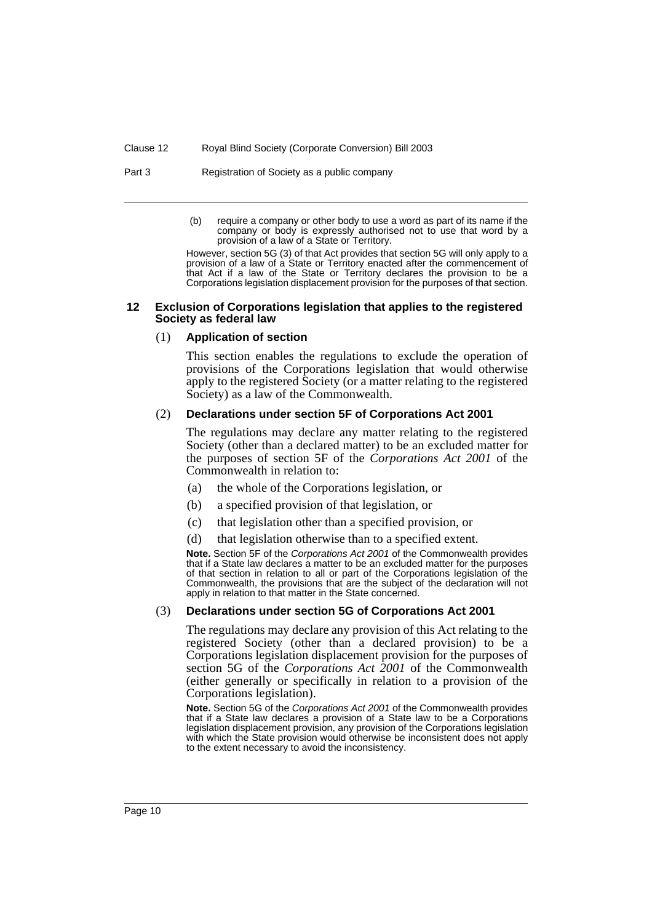Part 3 Registration of Society as a public company

(b) require a company or other body to use a word as part of its name if the company or body is expressly authorised not to use that word by a provision of a law of a State or Territory.

However, section 5G (3) of that Act provides that section 5G will only apply to a provision of a law of a State or Territory enacted after the commencement of that Act if a law of the State or Territory declares the provision to be a Corporations legislation displacement provision for the purposes of that section.

#### **12 Exclusion of Corporations legislation that applies to the registered Society as federal law**

#### (1) **Application of section**

This section enables the regulations to exclude the operation of provisions of the Corporations legislation that would otherwise apply to the registered Society (or a matter relating to the registered Society) as a law of the Commonwealth.

#### (2) **Declarations under section 5F of Corporations Act 2001**

The regulations may declare any matter relating to the registered Society (other than a declared matter) to be an excluded matter for the purposes of section 5F of the *Corporations Act 2001* of the Commonwealth in relation to:

- (a) the whole of the Corporations legislation, or
- (b) a specified provision of that legislation, or
- (c) that legislation other than a specified provision, or
- (d) that legislation otherwise than to a specified extent.

**Note.** Section 5F of the Corporations Act 2001 of the Commonwealth provides that if a State law declares a matter to be an excluded matter for the purposes of that section in relation to all or part of the Corporations legislation of the Commonwealth, the provisions that are the subject of the declaration will not apply in relation to that matter in the State concerned.

#### (3) **Declarations under section 5G of Corporations Act 2001**

The regulations may declare any provision of this Act relating to the registered Society (other than a declared provision) to be a Corporations legislation displacement provision for the purposes of section 5G of the *Corporations Act 2001* of the Commonwealth (either generally or specifically in relation to a provision of the Corporations legislation).

**Note.** Section 5G of the Corporations Act 2001 of the Commonwealth provides that if a State law declares a provision of a State law to be a Corporations legislation displacement provision, any provision of the Corporations legislation with which the State provision would otherwise be inconsistent does not apply to the extent necessary to avoid the inconsistency.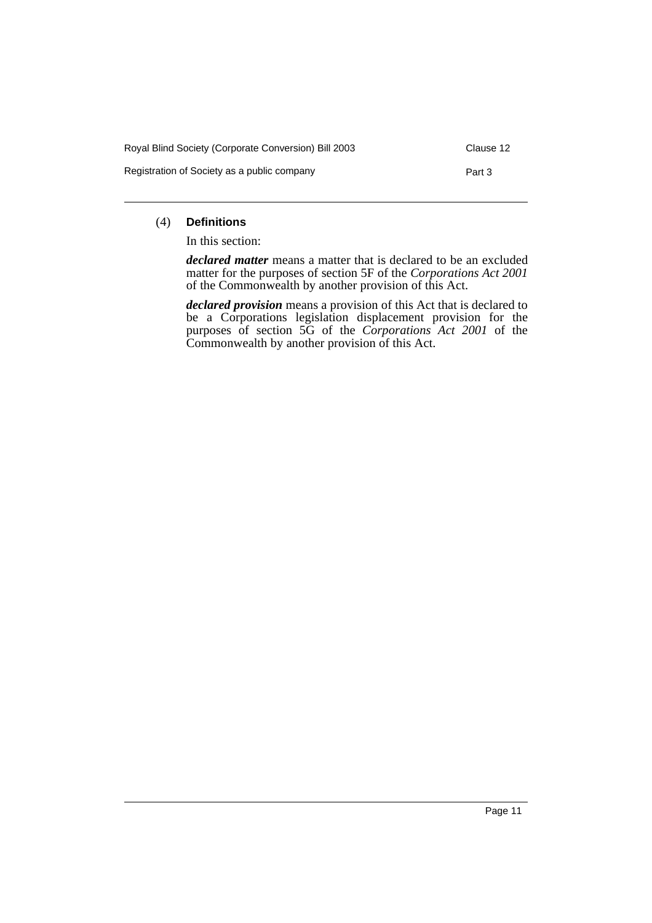| Royal Blind Society (Corporate Conversion) Bill 2003 | Clause 12 |
|------------------------------------------------------|-----------|
| Registration of Society as a public company          | Part 3    |

### (4) **Definitions**

In this section:

*declared matter* means a matter that is declared to be an excluded matter for the purposes of section 5F of the *Corporations Act 2001* of the Commonwealth by another provision of this Act.

*declared provision* means a provision of this Act that is declared to be a Corporations legislation displacement provision for the purposes of section 5G of the *Corporations Act 2001* of the Commonwealth by another provision of this Act.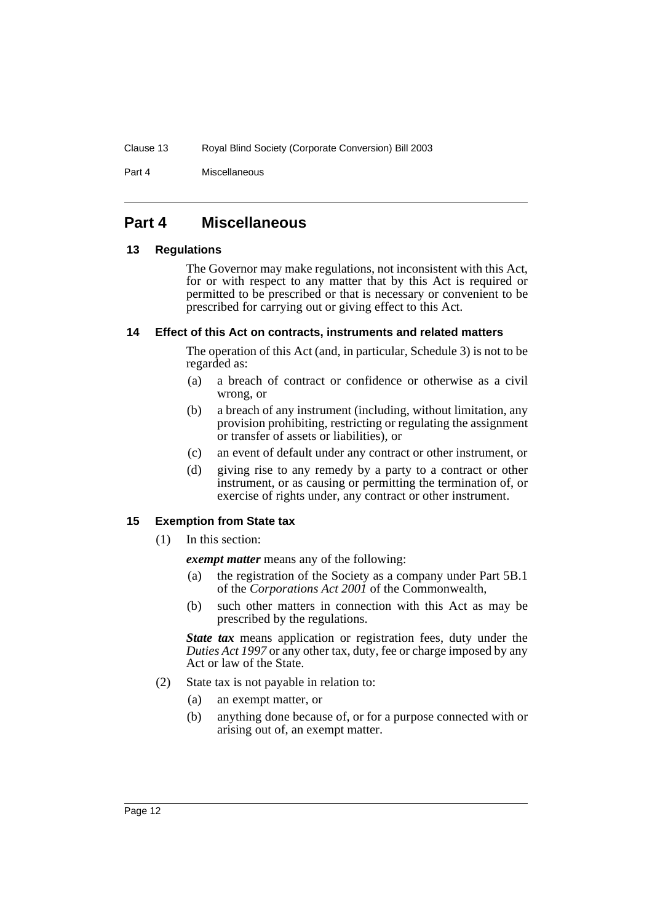Part 4 Miscellaneous

### **Part 4 Miscellaneous**

#### **13 Regulations**

The Governor may make regulations, not inconsistent with this Act, for or with respect to any matter that by this Act is required or permitted to be prescribed or that is necessary or convenient to be prescribed for carrying out or giving effect to this Act.

#### **14 Effect of this Act on contracts, instruments and related matters**

The operation of this Act (and, in particular, Schedule 3) is not to be regarded as:

- (a) a breach of contract or confidence or otherwise as a civil wrong, or
- (b) a breach of any instrument (including, without limitation, any provision prohibiting, restricting or regulating the assignment or transfer of assets or liabilities), or
- (c) an event of default under any contract or other instrument, or
- (d) giving rise to any remedy by a party to a contract or other instrument, or as causing or permitting the termination of, or exercise of rights under, any contract or other instrument.

#### **15 Exemption from State tax**

(1) In this section:

*exempt matter* means any of the following:

- (a) the registration of the Society as a company under Part 5B.1 of the *Corporations Act 2001* of the Commonwealth,
- (b) such other matters in connection with this Act as may be prescribed by the regulations.

*State tax* means application or registration fees, duty under the *Duties Act 1997* or any other tax, duty, fee or charge imposed by any Act or law of the State.

- (2) State tax is not payable in relation to:
	- (a) an exempt matter, or
	- (b) anything done because of, or for a purpose connected with or arising out of, an exempt matter.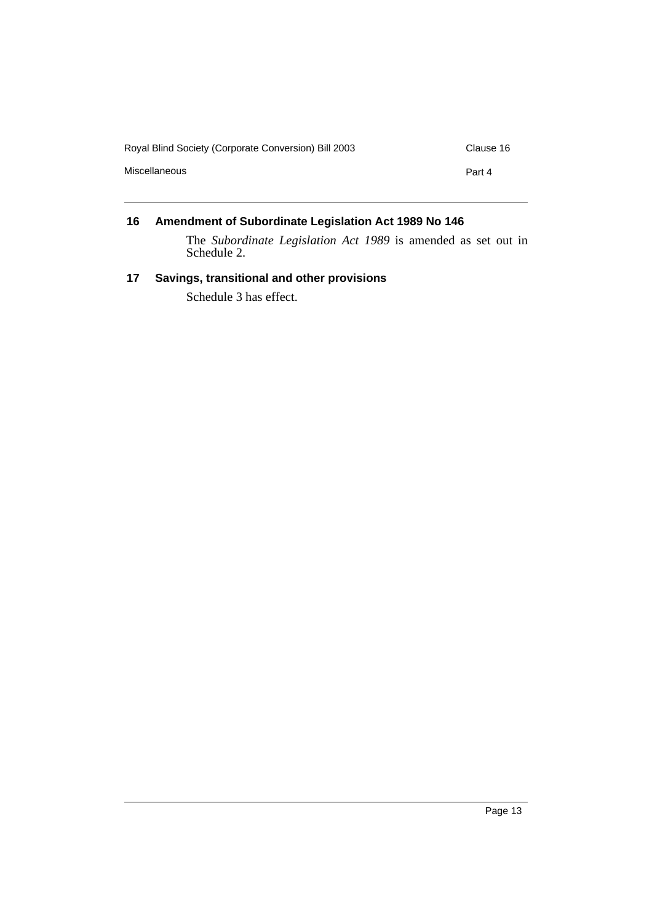| Royal Blind Society (Corporate Conversion) Bill 2003 | Clause 16 |
|------------------------------------------------------|-----------|
| Miscellaneous                                        | Part 4    |
|                                                      |           |

### **16 Amendment of Subordinate Legislation Act 1989 No 146**

The *Subordinate Legislation Act 1989* is amended as set out in Schedule 2.

### **17 Savings, transitional and other provisions**

Schedule 3 has effect.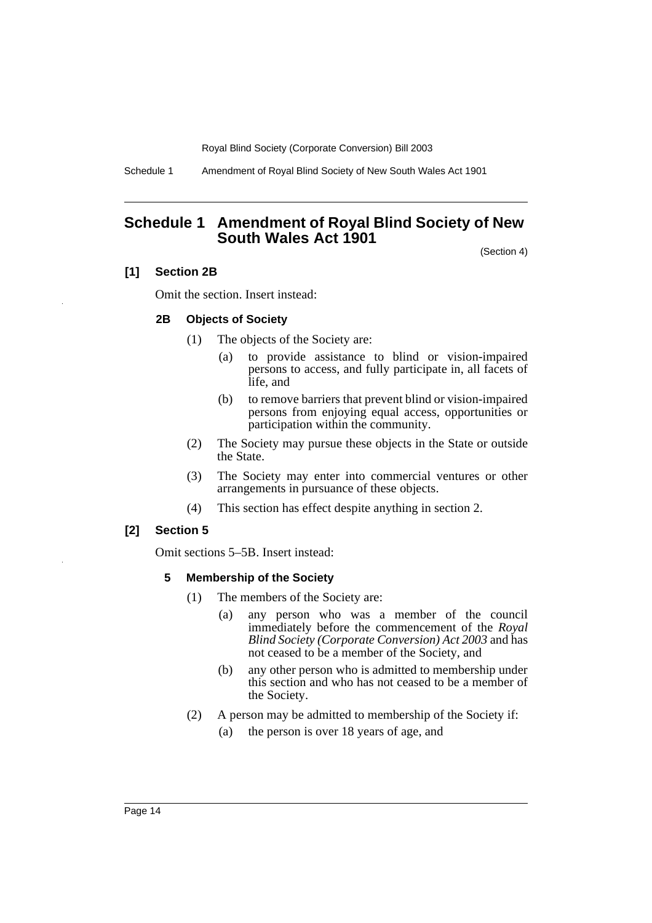Schedule 1 Amendment of Royal Blind Society of New South Wales Act 1901

### **Schedule 1 Amendment of Royal Blind Society of New South Wales Act 1901**

(Section 4)

#### **[1] Section 2B**

Omit the section. Insert instead:

#### **2B Objects of Society**

- (1) The objects of the Society are:
	- (a) to provide assistance to blind or vision-impaired persons to access, and fully participate in, all facets of life, and
	- (b) to remove barriers that prevent blind or vision-impaired persons from enjoying equal access, opportunities or participation within the community.
- (2) The Society may pursue these objects in the State or outside the State.
- (3) The Society may enter into commercial ventures or other arrangements in pursuance of these objects.
- (4) This section has effect despite anything in section 2.

#### **[2] Section 5**

Omit sections 5–5B. Insert instead:

#### **5 Membership of the Society**

- (1) The members of the Society are:
	- (a) any person who was a member of the council immediately before the commencement of the *Royal Blind Society (Corporate Conversion) Act 2003* and has not ceased to be a member of the Society, and
	- (b) any other person who is admitted to membership under this section and who has not ceased to be a member of the Society.
- (2) A person may be admitted to membership of the Society if:
	- (a) the person is over 18 years of age, and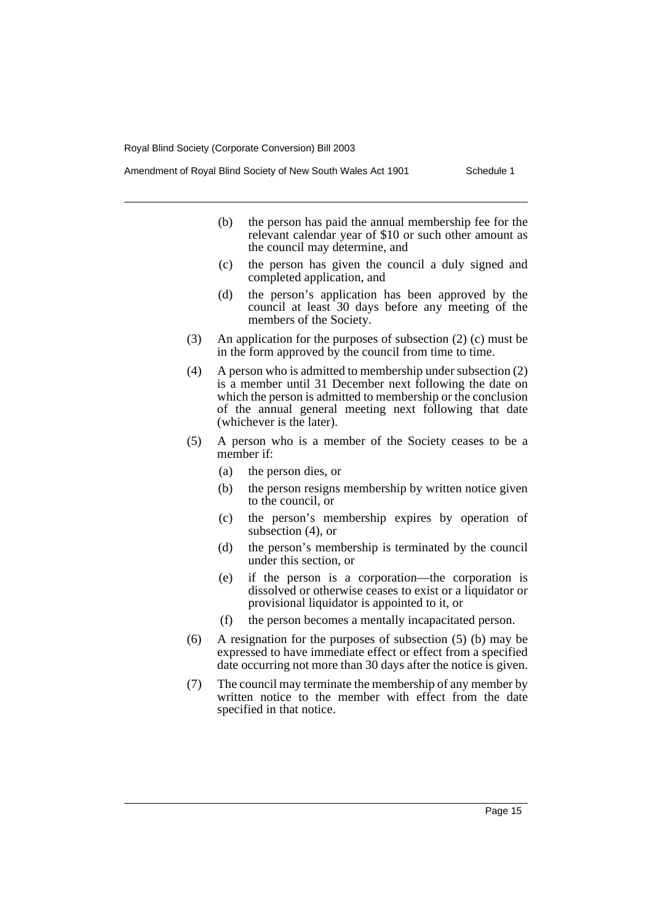- (b) the person has paid the annual membership fee for the relevant calendar year of \$10 or such other amount as the council may determine, and
- (c) the person has given the council a duly signed and completed application, and
- (d) the person's application has been approved by the council at least 30 days before any meeting of the members of the Society.
- (3) An application for the purposes of subsection (2) (c) must be in the form approved by the council from time to time.
- (4) A person who is admitted to membership under subsection (2) is a member until 31 December next following the date on which the person is admitted to membership or the conclusion of the annual general meeting next following that date (whichever is the later).
- (5) A person who is a member of the Society ceases to be a member if:
	- (a) the person dies, or
	- (b) the person resigns membership by written notice given to the council, or
	- (c) the person's membership expires by operation of subsection (4), or
	- (d) the person's membership is terminated by the council under this section, or
	- (e) if the person is a corporation—the corporation is dissolved or otherwise ceases to exist or a liquidator or provisional liquidator is appointed to it, or
	- (f) the person becomes a mentally incapacitated person.
- (6) A resignation for the purposes of subsection (5) (b) may be expressed to have immediate effect or effect from a specified date occurring not more than 30 days after the notice is given.
- (7) The council may terminate the membership of any member by written notice to the member with effect from the date specified in that notice.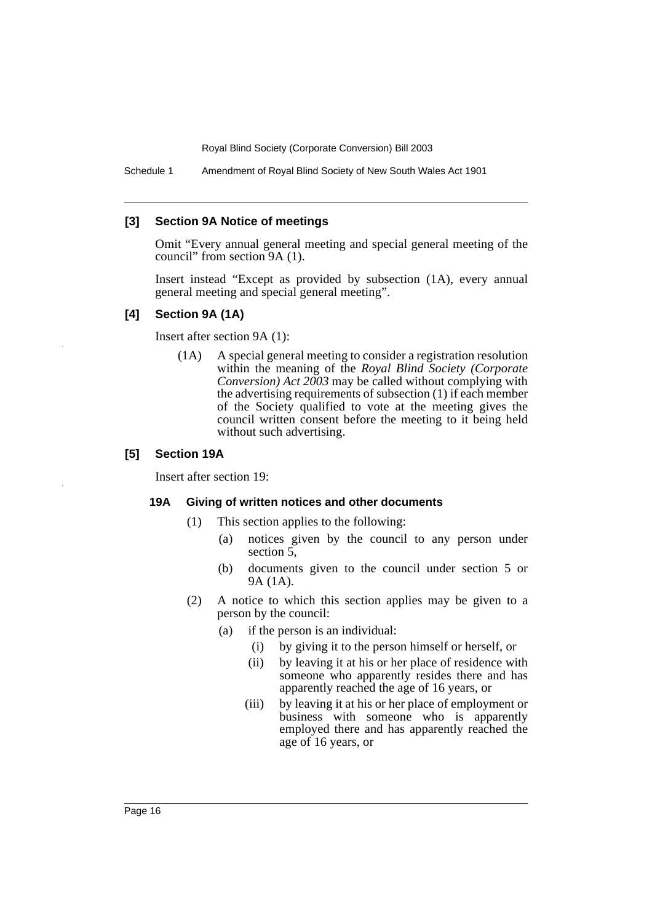Schedule 1 Amendment of Royal Blind Society of New South Wales Act 1901

#### **[3] Section 9A Notice of meetings**

Omit "Every annual general meeting and special general meeting of the council" from section 9A (1).

Insert instead "Except as provided by subsection (1A), every annual general meeting and special general meeting".

#### **[4] Section 9A (1A)**

Insert after section 9A (1):

(1A) A special general meeting to consider a registration resolution within the meaning of the *Royal Blind Society (Corporate Conversion) Act 2003* may be called without complying with the advertising requirements of subsection (1) if each member of the Society qualified to vote at the meeting gives the council written consent before the meeting to it being held without such advertising.

#### **[5] Section 19A**

Insert after section 19:

#### **19A Giving of written notices and other documents**

- (1) This section applies to the following:
	- (a) notices given by the council to any person under section 5,
	- (b) documents given to the council under section 5 or 9A (1A).
- (2) A notice to which this section applies may be given to a person by the council:

(a) if the person is an individual:

- (i) by giving it to the person himself or herself, or
- (ii) by leaving it at his or her place of residence with someone who apparently resides there and has apparently reached the age of 16 years, or
- (iii) by leaving it at his or her place of employment or business with someone who is apparently employed there and has apparently reached the age of 16 years, or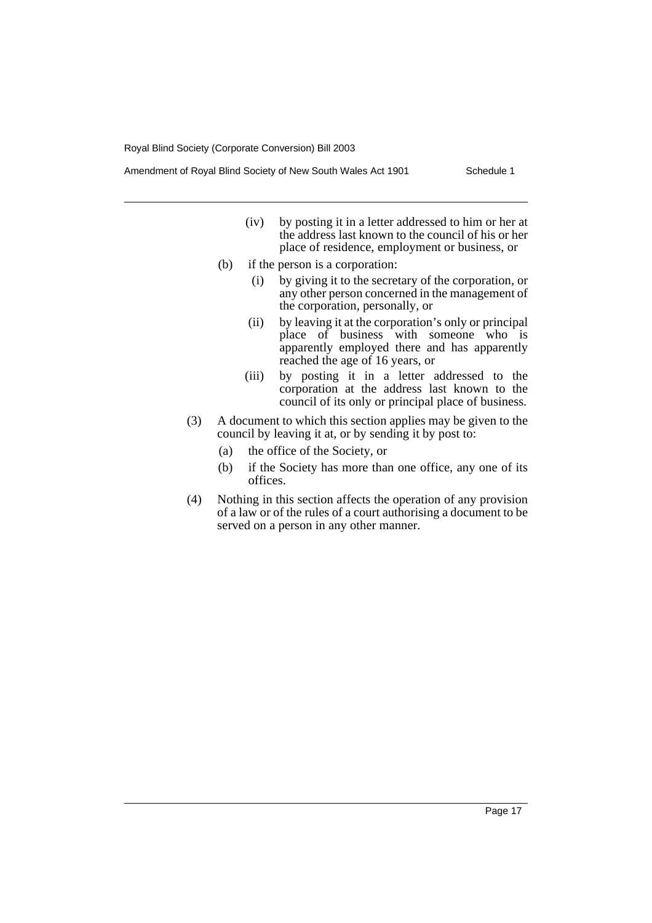- (iv) by posting it in a letter addressed to him or her at the address last known to the council of his or her place of residence, employment or business, or
- (b) if the person is a corporation:
	- (i) by giving it to the secretary of the corporation, or any other person concerned in the management of the corporation, personally, or
	- (ii) by leaving it at the corporation's only or principal place of business with someone who is apparently employed there and has apparently reached the age of 16 years, or
	- (iii) by posting it in a letter addressed to the corporation at the address last known to the council of its only or principal place of business.
- (3) A document to which this section applies may be given to the council by leaving it at, or by sending it by post to:
	- (a) the office of the Society, or
	- (b) if the Society has more than one office, any one of its offices.
- (4) Nothing in this section affects the operation of any provision of a law or of the rules of a court authorising a document to be served on a person in any other manner.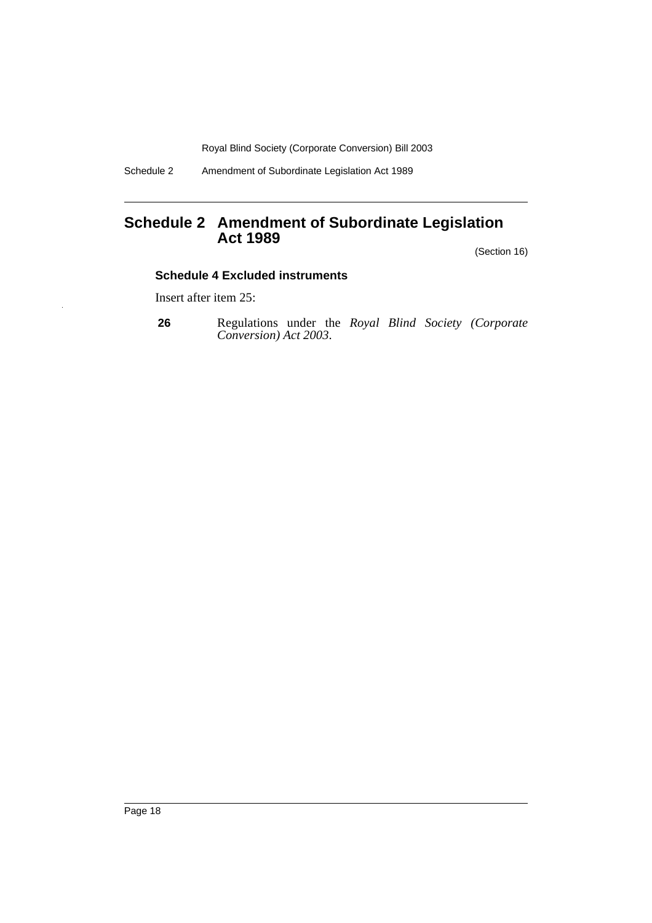Schedule 2 Amendment of Subordinate Legislation Act 1989

### **Schedule 2 Amendment of Subordinate Legislation Act 1989**

(Section 16)

#### **Schedule 4 Excluded instruments**

Insert after item 25:

**26** Regulations under the *Royal Blind Society (Corporate Conversion) Act 2003*.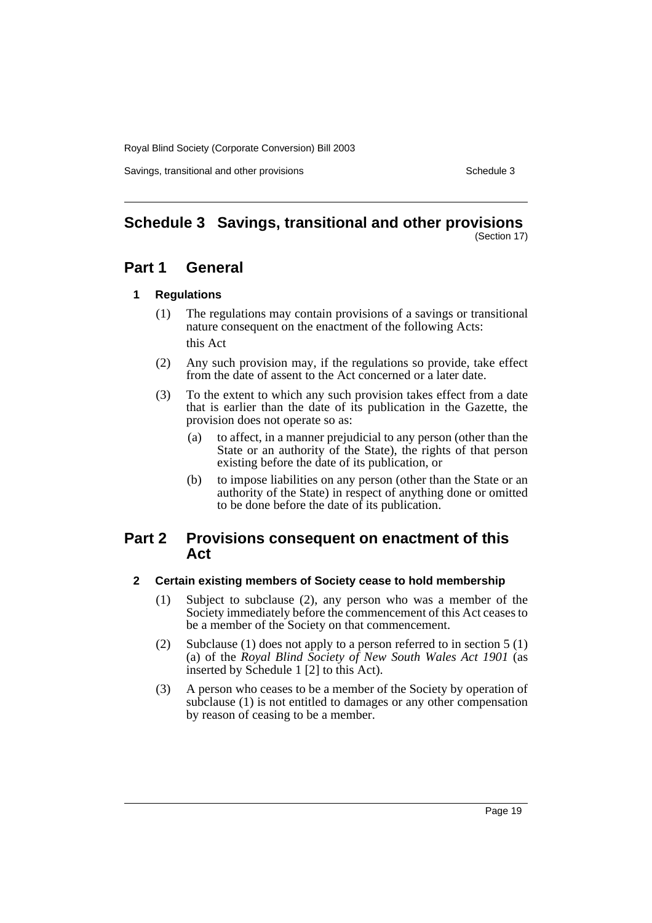Savings, transitional and other provisions Schedule 3 Schedule 3

#### **Schedule 3 Savings, transitional and other provisions** (Section 17)

### **Part 1 General**

#### **1 Regulations**

- (1) The regulations may contain provisions of a savings or transitional nature consequent on the enactment of the following Acts: this Act
- (2) Any such provision may, if the regulations so provide, take effect from the date of assent to the Act concerned or a later date.
- (3) To the extent to which any such provision takes effect from a date that is earlier than the date of its publication in the Gazette, the provision does not operate so as:
	- (a) to affect, in a manner prejudicial to any person (other than the State or an authority of the State), the rights of that person existing before the date of its publication, or
	- (b) to impose liabilities on any person (other than the State or an authority of the State) in respect of anything done or omitted to be done before the date of its publication.

### **Part 2 Provisions consequent on enactment of this Act**

#### **2 Certain existing members of Society cease to hold membership**

- (1) Subject to subclause (2), any person who was a member of the Society immediately before the commencement of this Act ceases to be a member of the Society on that commencement.
- (2) Subclause (1) does not apply to a person referred to in section 5 (1) (a) of the *Royal Blind Society of New South Wales Act 1901* (as inserted by Schedule 1 [2] to this Act).
- (3) A person who ceases to be a member of the Society by operation of subclause (1) is not entitled to damages or any other compensation by reason of ceasing to be a member.